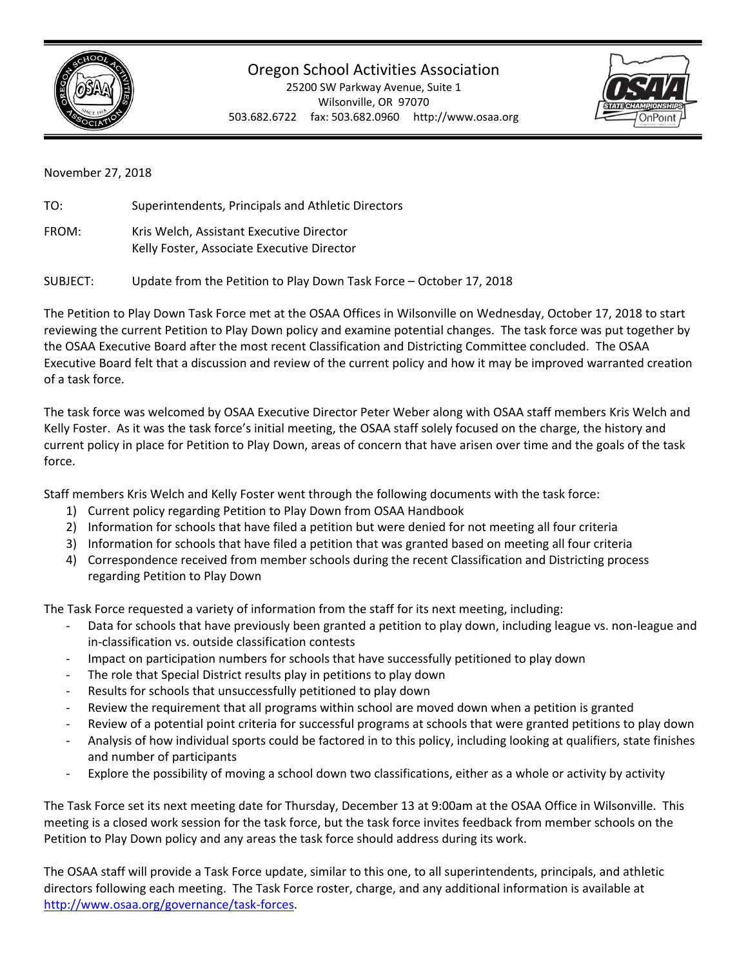

## Oregon School Activities Association

25200 SW Parkway Avenue, Suite 1 Wilsonville, OR 97070 503.682.6722 fax: 503.682.0960 http://www.osaa.org



November 27, 2018

| TO:   | Superintendents, Principals and Athletic Directors                                     |
|-------|----------------------------------------------------------------------------------------|
| FROM: | Kris Welch, Assistant Executive Director<br>Kelly Foster, Associate Executive Director |
|       |                                                                                        |

SUBJECT: Update from the Petition to Play Down Task Force – October 17, 2018

The Petition to Play Down Task Force met at the OSAA Offices in Wilsonville on Wednesday, October 17, 2018 to start reviewing the current Petition to Play Down policy and examine potential changes. The task force was put together by the OSAA Executive Board after the most recent Classification and Districting Committee concluded. The OSAA Executive Board felt that a discussion and review of the current policy and how it may be improved warranted creation of a task force.

The task force was welcomed by OSAA Executive Director Peter Weber along with OSAA staff members Kris Welch and Kelly Foster. As it was the task force's initial meeting, the OSAA staff solely focused on the charge, the history and current policy in place for Petition to Play Down, areas of concern that have arisen over time and the goals of the task force.

Staff members Kris Welch and Kelly Foster went through the following documents with the task force:

- 1) Current policy regarding Petition to Play Down from OSAA Handbook
- 2) Information for schools that have filed a petition but were denied for not meeting all four criteria
- 3) Information for schools that have filed a petition that was granted based on meeting all four criteria
- 4) Correspondence received from member schools during the recent Classification and Districting process regarding Petition to Play Down

The Task Force requested a variety of information from the staff for its next meeting, including:

- Data for schools that have previously been granted a petition to play down, including league vs. non-league and in-classification vs. outside classification contests
- Impact on participation numbers for schools that have successfully petitioned to play down
- The role that Special District results play in petitions to play down
- Results for schools that unsuccessfully petitioned to play down
- Review the requirement that all programs within school are moved down when a petition is granted
- Review of a potential point criteria for successful programs at schools that were granted petitions to play down
- Analysis of how individual sports could be factored in to this policy, including looking at qualifiers, state finishes and number of participants
- Explore the possibility of moving a school down two classifications, either as a whole or activity by activity

The Task Force set its next meeting date for Thursday, December 13 at 9:00am at the OSAA Office in Wilsonville. This meeting is a closed work session for the task force, but the task force invites feedback from member schools on the Petition to Play Down policy and any areas the task force should address during its work.

The OSAA staff will provide a Task Force update, similar to this one, to all superintendents, principals, and athletic directors following each meeting. The Task Force roster, charge, and any additional information is available at [http://www.osaa.org/governance/task-forces.](http://www.osaa.org/governance/task-forces)